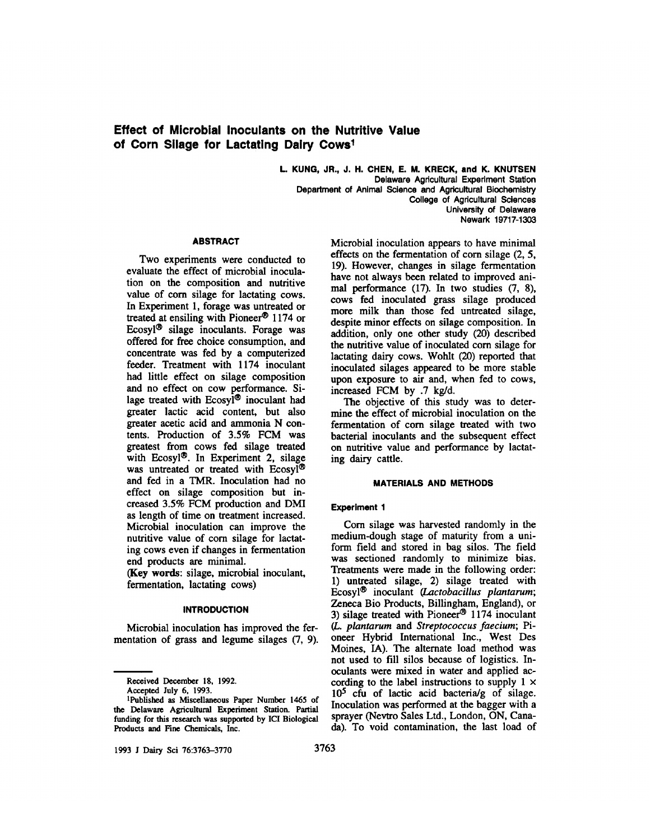# **Effect of Microbial Inoculants on the Nutritive Value of Corn Silage for Lactating Dairy Cows1**

**L. KUNG, JR., J. H. CHEN, E. M. KRECK, and K. KNUTSEN Delaware Agricultural Experiment Station Department of Animal Science and Agricultural Biochemistry College of Agricultural Sciences University of Delaware Newark 19717-1303** 

# **ABSTRACT**

Two experiments were conducted to evaluate the effect of microbial inoculation on the composition and nutritive value of corn silage for lactating cows. In Experiment **1,** forage was untreated or treated at ensiling with Pioneer@ **1174** or Ecosyl $\mathcal{B}$  silage inoculants. Forage was offered for **free** choice consumption, and concentrate was fed by a computerized feeder. Treatment with **1174** inoculant had little effect on silage composition and no effect on cow performance. Silage treated with  $E\cos y\hat{i}^{\circledR}$  inoculant had greater lactic acid content, but also greater acetic acid and ammonia N contents. Production of **3.5%** FCM was greatest from cows fed silage treated with Ecosyl@. In Experiment **2,** silage was untreated or treated with Ecosyl® and fed in a **TMR.** Inoculation had no effect on silage composition but increased **3.5%** FCM production and DMI **as** length of time on treatment increased. Microbial inoculation can improve the nutritive value of corn silage for lactating cows even if changes in fermentation end products are minimal.

**(Key** words: silage, microbial inoculant, fermentation, lactating cows)

#### **INTRODUCTION**

Microbial inoculation has improved the fermentation of **grass** and legume silages (7, **9).** 

**Received December 18, 1992.** 

**Accepted July 6, 1993.** 

**1993 J** Dairy **Sci 76:3763-3770 3763** 

Microbial inoculation appears to have minimal effects on the fermentation of corn silage (2, **5, 19).** However, changes in silage fermentation have not always been related to improved animal performance **(17).** In two studies **(7, 8),**  cows fed inoculated **grass** silage produced more milk than those fed untreated silage, despite minor effects on silage composition. In addition, **only** one other study (20) described the nutritive value of inoculated corn silage for lactating dairy cows. Wohlt (20) reported that inoculated silages appeared to be more stable upon exposure to **air** and, when fed to cows, increased FCM by **.7** kg/d.

The objective of **this** study was to determine the effect of microbial inoculation on the fermentation of corn silage treated with two bacterial inoculants and the subsequent effect on nutritive value and performance by lactating *dairy* cattle.

# **MATERIALS AND METHODS**

# **Experiment 1**

Corn silage was harvested randomly in the medium-dough stage of maturity from a uniform field and stored in bag silos. The field was sectioned randomly to minimize bias. Treatments were made in the following order: **1)** untreated silage, **2)** silage treated with Ecosyl@ inoculant *(Lactobacillus plantarum;*  Zeneca Bio Products, Billingham, England), or **3)** silage treated with Pioneer@' **1174** inoculant (L. *plantarum* and *Streptococcus faecium;* Pioneer Hybrid International Inc., West Des Moines, IA). The alternate load method was not used to fill silos because of logistics. Inoculants were mixed in water and applied according to the label instructions to supply  $1 \times$ 10<sup>5</sup> cfu of lactic acid bacteria/g of silage. Inoculation was performed at the bagger with a sprayer (Nevtro Sales **Ltd.,** London, ON, Canada). To void contamination, the last load of

**<sup>&#</sup>x27;Published as Miscellaneous Paper Number 1465 of the Delaware Agricultural Experiment Station. Partial funding for this research was supported by IC1 Biological Products and Fine Chemicals, Inc.**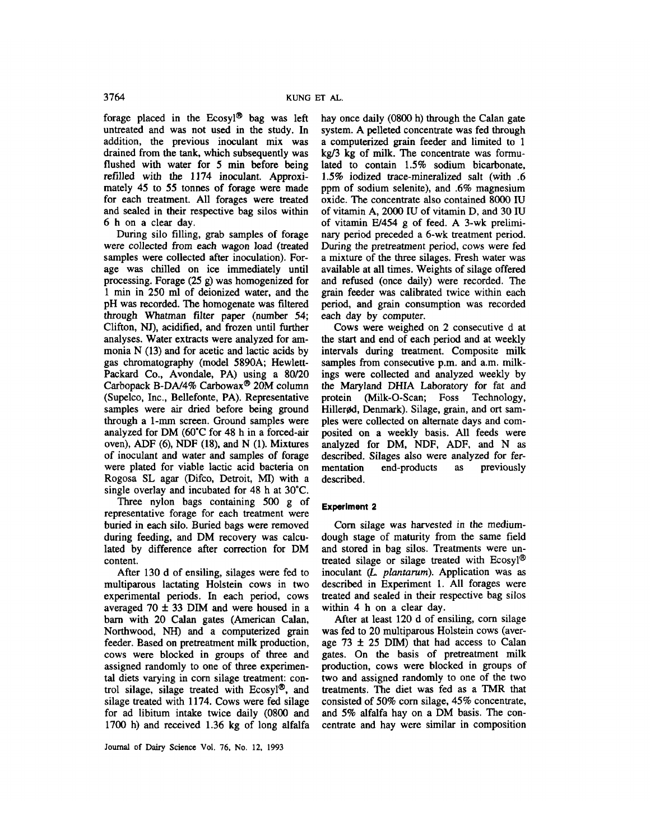forage placed in the Ecosyl<sup>®</sup> bag was left untreated and was not used in the study. In addition, the previous inoculant mix was drained from the tank, which subsequently was flushed with water for *5* min before being refilled with the 1174 inoculant. Approximately **45** to *55* tonnes of forage were made for each treatment. All forages were treated and sealed in their respective bag silos within 6 h on a clear day.

During silo filling, grab samples of forage were collected from each wagon load (treated samples were collected after inoculation). Forage was chilled on ice immediately until processing. Forage (25 **g)** was homogenized for 1 min in 250 ml of deionized water, and the pH was recorded. The homogenate was filtered through Whatman filter paper (number **54;**  Clifton, NJ), acidified, and frozen until further analyses. Water extracts were analyzed for ammonia N (13) and for acetic and lactic acids by gas chromatography (model 5890A; Hewlett-Packard Co., Avondale, PA) using a **80/20**  Carbopack B-DA/4% Carbowax<sup>®</sup> 20M column (Supelco, Inc., Bellefonte, PA). Representative samples were **air** dried before being ground through a 1-mm screen. Ground samples were analyzed for DM (60°C for 48 h in a forced-air oven), ADF (6), NDF **(18),** and N (1). Mixtures of inoculant and water and samples of forage were plated for viable lactic acid bacteria on Rogosa SL agar (Difco, Detroit, MI) with a single overlay and incubated for 48 h at 30°C.

Three nylon bags containing *500* g of representative forage for each treatment were buried in each silo. Buried bags were removed during feeding, and DM recovery was calculated by difference after correction for DM content.

After 130 d of ensiling, silages were fed to multiparous lactating Holstein cows in two experimental periods. In each period, cows averaged  $70 \pm 33$  DIM and were housed in a barn with 20 Calan gates (American Calan, Northwood, **NH)** and a computerized grain feeder. Eased on pretreatment milk production, cows were blocked in groups of three and assigned randomly to one of three experimental diets varying in corn silage treatment: control silage, silage treated with  $E\cos y^{0.0}$ , and silage treated with 1174. Cows were fed silage for ad libitum intake twice daily (0800 and 1700 h) and received 1.36 kg of long alfalfa hay once daily (0800 h) through the Calan gate system. A pelleted concentrate was fed through a computerized grain feeder and limited to 1 kg/3 kg of milk. The concentrate was fomulated to contain 1.5% sodium bicarbonate, **1.5%** iodized trace-mineralized salt (with .6 ppm of sodium selenite), and .6% magnesium oxide. The concentrate also contained **8OOO** IU of vitamin A, 2000 IU of vitamin D, and 30 IU of vitamin  $E/454$  g of feed. A 3-wk preliminary period preceded a 6-wk treatment period. During the pretreatment period, cows were fed a mixture of the three silages. Fresh water was available at all times. Weights of silage offered and refused (once daily) were recorded. The grain feeder was calibrated twice within each period, and grain consumption was recorded each day by computer.

Cows were weighed on 2 consecutive d at the **start and** end of each period and at weekly intervals during treatment. Composite milk samples from consecutive p.m. and a.m. milkings were collected and analyzed weekly by the Maryland DHIA Laboratory for fat and protein (Milk-0-Scan; Foss Technology, Hillerød, Denmark). Silage, grain, and ort samples were collected on alternate days and composited on a weekly basis. All feeds were analyzed for DM, NDF, ADF, and N **as**  described. Silages also were analyzed for fermentation end-products **as** previously described.

# **Experiment 2**

Corn silage was harvested in the mediumdough stage of maturity from the same field and stored in bag silos. Treatments were untreated silage or silage treated with  $E\text{cosyl}^{\circledR}$ inoculant *(L. plantarum).* Application was **as**  described in Experiment 1. All forages were treated and sealed in their respective bag silos within **4** h on a clear day.

After at least 120 d of ensiling, corn silage was fed to 20 multiparous Holstein cows (average 73 **f 25** DIM) that had access to Calan gates. On the basis of pretreatment milk production, cows were blocked in groups of two and assigned randomly to one of the two treatments. The diet was fed as a **TMR** that consisted of 50% corn silage, **45%** concentrate, and *5%* alfalfa hay on a DM basis. The concentrate and hay were similar in composition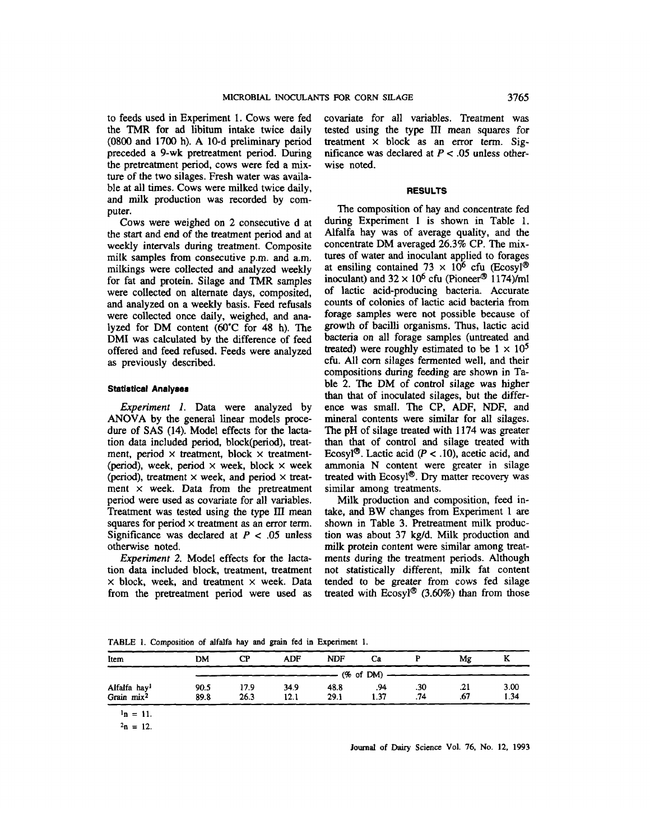to feeds used in Experiment 1. Cows were fed the TMR for ad libitum intake twice daily (0800 and 1700 h). A 10-d preliminary period preceded a 9-wk pretreatment period. During the pretreatment period, cows were fed a mixture of the two silages. Fresh water was available at all times. Cows were milked twice daily, and milk production was recorded by computer.

Cows were weighed on 2 consecutive d at the start and end of the treatment period and at weekly intervals during treatment. Composite milk samples from consecutive p.m. and a.m. milkings were collected and analyzed weekly for fat and protein. Silage and TMR samples were collected on alternate days, composited, and analyzed on a weekly basis. Feed refusals were collected once daily, weighed, and analyzed for DM content (60°C for **48** h). The DMI was calculated by the difference of feed offered and feed refused. Feeds were analyzed **as** previously described.

#### **Statlstical Analyser**

*Experiment I.* Data were analyzed by **ANOVA** by the general linear models procedure of SAS (14). Model effects for the lactation data included period, block(period), treatment, period  $\times$  treatment, block  $\times$  treatment-(period), week, period  $\times$  week, block  $\times$  week (period), treatment x week, and period **x** treatment  $\times$  week. Data from the pretreatment period were used as covariate for all variables. Treatment was tested using the type **III** mean squares for period x treatment **as** an error term. Significance was declared at  $P < .05$  unless otherwise noted.

*Experiment* 2. Model effects for the lactation data included block, treatment, treatment  $\times$  block, week, and treatment  $\times$  week. Data from the pretreatment period were **used as**  covariate for all variables. Treatment was tested using the type **III** mean squares for treatment **x** block **as** an error term. Significance was declared at P < *.05* unless otherwise noted.

#### **RESULTS**

The composition of hay and concentrate fed during Experiment **1** is shown in Table 1. Alfalfa hay was of average quality, and the concentrate DM averaged 26.3% CP. The mixtures of water and inoculant applied to forages at ensiling contained 73  $\times$  10<sup>6</sup> cfu (Ecosyl<sup>®</sup>) inoculant) and  $32 \times 10^6$  cfu (Pioneer<sup>®</sup> 1174)/ml of lactic acid-producing bacteria. Accurate counts of colonies of lactic acid bacteria from forage samples were not possible because of growth of bacilli organisms. Thus, lactic acid bacteria on all forage samples (untreated and treated) were roughly estimated to be  $1 \times 10^5$ cfu. All corn silages fermented well, and their compositions during feeding are shown in Table 2. The DM of control silage was higher than that of inoculated silages, but the difference was small. The CP, ADF, **NDF,** and mineral contents were similar for all silages. The pH of silage treated with 1174 was greater than that of control and silage treated with Ecosyl<sup>®</sup>. Lactic acid  $(P < .10)$ , acetic acid, and ammonia N content were greater in silage treated with Ecosyl<sup>®</sup>. Dry matter recovery was similar among treatments.

Milk production and composition, feed intake, and BW changes from Experiment 1 are shown in Table 3. Pretreatment milk production was about 37 kg/d. Milk production and milk protein content were similar among treatments during **the** treatment periods. Although not statistically different, milk fat content tended to be greater from cows fed silage treated with  $E\cos yl^{\circledast}$  (3.60%) than from those

**TABLE 1. Composition of alfalfa hay and** grain **fed in Experiment 1.** 

| Item                     | <b>DM</b> | СP   | <b>ADF</b> | <b>NDF</b> | Ca            |     | Mg  | A    |
|--------------------------|-----------|------|------------|------------|---------------|-----|-----|------|
|                          |           |      |            |            | $(% of DM)$ - |     |     |      |
| Alfalfa hay <sup>1</sup> | 90.5      | 17.9 | 34.9       | 48.8       | .94           | .30 | .21 | 3.00 |
| Grain $mix^2$            | 89.8      | 26.3 | 12.1       | 29.1       | 1.37          | .74 | .67 | 1.34 |

 $n = 11$ .

 $2n = 12$ .

**Journal of** *D;ury* **Science Vol. 76, No. 12, 1993**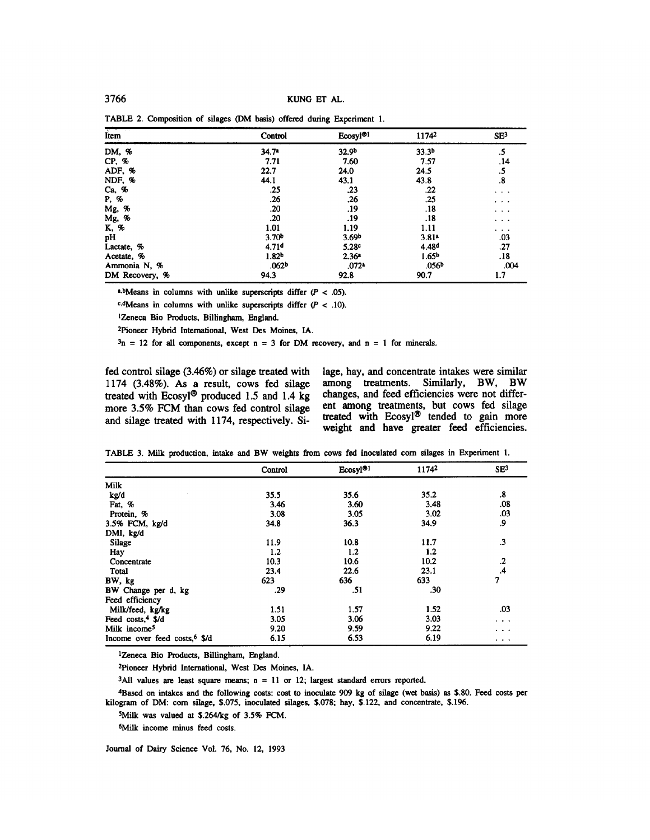| Item           | Control           | Ecosyl <sup>®1</sup> | 11742             | SE <sup>3</sup>                                                               |
|----------------|-------------------|----------------------|-------------------|-------------------------------------------------------------------------------|
| DM, %          | 34.7 <sup>n</sup> | 32.9b                | 33.3 <sup>b</sup> | .5                                                                            |
| CP, %          | 7.71              | 7.60                 | 7.57              | .14                                                                           |
| ADF, %         | 22.7              | 24.0                 | 24.5              | .5                                                                            |
| NDF, %         | 44.1              | 43.1                 | 43.8              | $\boldsymbol{.8}$                                                             |
| Ca, %          | .25               | .23                  | .22               | $\cdot$ $\cdot$ $\cdot$                                                       |
| P, %           | .26               | .26                  | .25               | $\cdots$                                                                      |
| Mg, %          | .20               | .19                  | .18               | $\begin{array}{cccccccccc} \bullet & \bullet & \bullet & \bullet \end{array}$ |
| Mg, %          | .20               | .19                  | .18               | $\cdots$                                                                      |
| K, %           | 1.01              | 1.19                 | 1.11              | $\cdots$                                                                      |
| pH             | 3.70 <sup>b</sup> | 3.69 <sup>b</sup>    | 3.81 <sup>n</sup> | .03                                                                           |
| Lactate, %     | 4.71 <sup>d</sup> | 5.28 <sup>c</sup>    | 4.48 <sup>d</sup> | .27                                                                           |
| Acetate, %     | 1.82 <sup>b</sup> | 2.36 <sup>a</sup>    | 1.65 <sup>b</sup> | .18                                                                           |
| Ammonia N, %   | .062 <sup>b</sup> | $.072*$              | .056 <sup>b</sup> | .004                                                                          |
| DM Recovery, % | 94.3              | 92.8                 | 90.7              | 1.7                                                                           |

TABLE 2. Composition of silages (DM basis) offered during Experiment 1.

a.bMeans in columns with unlike **superscripts** differ *(P c* **.05).** 

 $c.d$ Means in columns with unlike superscripts differ ( $P < .10$ ).

12eneca Bio Products, Billingham, England.

2Pioneer Hybrid International, West **Des** Moines, IA.

 $3n = 12$  for all components, except n = 3 for DM recovery, and n = 1 for minerals.

**fed control silage (3.46%) or silage treated with lage, hay, and concentrate intakes were similar 1174 (3.48%).** As **a result, cows fed silage among treatments. Similarly, BW, BW**  treated with Ecosyl<sup>®</sup> produced 1.5 and 1.4 kg changes, and feed efficiencies were not differ-<br>more 3.5% ECM than cows fed control silage ent among treatments, but cows fed silage more 3.5% FCM than cows fed control silage ent among treatments, but cows fed silage and silage reated with 1174 respectively Signature and silage in more and silage treated with 1174, respectively. Si-

**weight and have greater feed efficiencies.** 

TABLE 3. *Milk* production, intake and BW weights from cows fed inoculated corn *silages* in Experiment 1.

|                                           | Control | Ecosyl®1 | 11742 | SE <sup>3</sup>          |
|-------------------------------------------|---------|----------|-------|--------------------------|
| Milk                                      |         |          |       |                          |
| kg/d                                      | 35.5    | 35.6     | 35.2  | .8                       |
| Fat, %                                    | 3.46    | 3.60     | 3.48  | .08                      |
| Protein, %                                | 3.08    | 3.05     | 3.02  | .03                      |
| 3.5% FCM, kg/d                            | 34.8    | 36.3     | 34.9  | .9                       |
| DMI, kg/d                                 |         |          |       |                          |
| Silage                                    | 11.9    | 10.8     | 11.7  | $\cdot$ 3                |
| Hay                                       | 1.2     | 1,2      | 1.2   |                          |
| Concentrate                               | 10.3    | 10.6     | 10.2  | $\cdot$                  |
| Total                                     | 23.4    | 22.6     | 23.1  | $\mathcal{A}$            |
| BW, kg                                    | 623     | 636      | 633   | $\overline{\mathcal{L}}$ |
| BW Change per d, kg                       | .29     | .51      | .30   |                          |
| Feed efficiency                           |         |          |       |                          |
| Milk/feed, kg/kg                          | 1.51    | 1.57     | 1.52  | .03                      |
| Feed costs, <sup>4</sup> \$/d             | 3.05    | 3.06     | 3.03  | $\cdots$                 |
| Milk income <sup>5</sup>                  | 9.20    | 9.59     | 9.22  | .                        |
| Income over feed costs, <sup>6</sup> \$/d | 6.15    | 6.53     | 6.19  | $\cdots$                 |

1Zeneca Bio Products, **Billingham,** England.

2Pioneer Hybrid International, West **Des** Moines. IA.

**3All** values **are** least square means; n = 11 or 12; largest standard errors reported.

4Based on intakes and the following **cats: cost** to **inoculate 909** kg of *silage* (wet basis) **as \$30.** Feed costs per **kilogram** of DM: corn silage, \$.075, inoculated silages, 3.078; hay, S.122, and concentrate, 9.196.

<sup>5</sup>Milk was valued at \$.264/kg of 3.5% FCM.

**6Milk** income **minus** feed costs.

Journal of Dairy Science Vol. 76, **No.** 12, 1993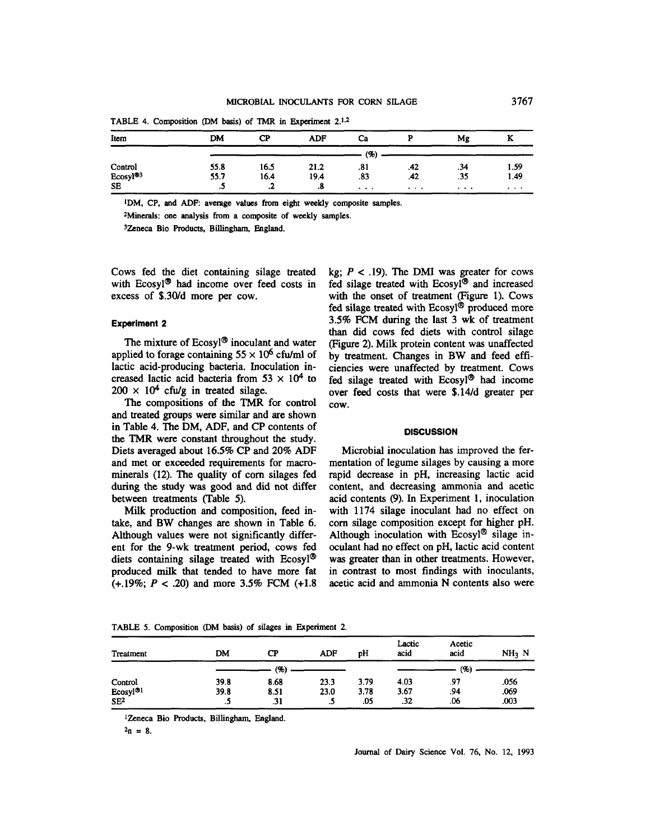| Item                 | DM   | <b>CP</b> | <b>ADF</b> | Ca       |          | Mg       | v<br>A   |
|----------------------|------|-----------|------------|----------|----------|----------|----------|
|                      |      |           |            | (%)      |          |          |          |
| Control              | 55.8 | 16.5      | 21.2       | .81      | .42      | .34      | 1.59     |
| Ecosyl <sup>®3</sup> | 55.7 | 16.4      | 19.4       | .83      | .42      | .35      | 1.49     |
| <b>SE</b>            |      | n<br>.4   | .8         | $\cdots$ | $\cdots$ | $\cdots$ | $\cdots$ |

**TABLE 4. Composition (DM** basis) **of** TMR **in Experiment 2.1~~** 

<sup>1</sup>DM, CP, and ADF: average values from eight weekly composite samples.

**ZMinerals: one analysis from a composite of weekly samples.** 

**3Zeneca Bio Products, Billingham, England.** 

Cows fed the diet containing silage treated with Ecosyl<sup> $\Phi$ </sup> had income over feed costs in excess of \$.3O/d more per cow.

# **Experiment 2**

The mixture of  $E\cos y = \arctan y$  inoculant and water applied to forage containing  $55 \times 10^6$  cfu/ml of lactic acid-producing bacteria. Inoculation increased lactic acid bacteria from  $53 \times 10^4$  to  $200 \times 10^4$  cfu/g in treated silage.

The compositions of the **TMR** for control and treated groups were similar and are shown in Table 4. The DM, ADF, and CP contents of the **TMR** were constant throughout the study. Diets averaged about 16.5% CP and *20%* ADF and met or exceeded requirements for macrominerals (12). The quality of corn silages fed during the study was **good** and did not differ between treatments (Table *5).* 

Milk production and composition, feed intake, and BW changes are shown in Table 6. Although values were not significantly different for the 9-wk treatment **period,** cows fed diets containing silage treated with  $E\cos y l^{\circledast}$ produced milk that tended to have more fat (+.19%; P *c* **.20)** and more 3.5% FCM **(+1.8** 

kg;  $P < .19$ ). The DMI was greater for cows fed silage treated with  $E\cos yl^{\circledR}$  and increased with the onset of treatment (Figure 1). Cows fed silage treated with Ecosyl® produced more **3.5%** FCM during the last 3 wk of treatment than did cows fed diets with control silage (Figure **2).** Milk protein content was unaffected by treatment. Changes in BW and feed efficiencies were unaffected by treatment. Cows fed silage treated with  $E\cos y \cdot 1^{\circ}$  had income over feed costs that were \$.14/d greater per cow.

# **DISCUSSION**

Microbial inoculation has improved the fermentation of legume silages by causing a more rapid decrease in pH, increasing lactic acid content, and decreasing ammonia and acetic acid contents (9). In Experiment 1, inoculation with 1174 silage inoculant had no effect on corn silage composition except for higher pH. Although inoculation with  $E\cos y\cos\theta$  silage inoculant had no effect on pH, lactic acid content was greater than in other treatments. However, in contrast to most findings with inoculants, acetic acid and ammonia N contents also were

**Treatment DM CP ADF pH Lactic Acetic acid acid NH3 N (%I** *(W*  **Control 39.8 8.68 23.3 3.79 4.03 .97** *.056*  **Ecosyl@' 39.8 8.51 23.0 3.78 3.67 .94 .069 SE\*** *.5* **.31** *.5* **.05 .32** *.06* **.003** 

**TABLE 5. Composition (DM basis) of silages in Experiment 2.** 

**1Zeneca Bio products, Billingham, England.** 

 $2n = 8$ .

**Journal of** Dairy **Science Vol. 76, No. 12, 1993**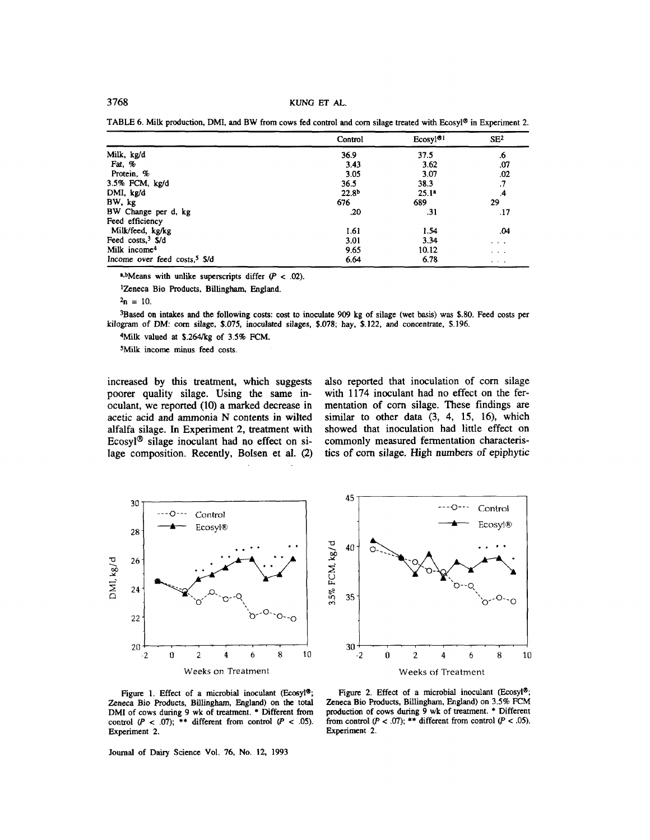TABLE 6. **Milk** production, **DMI.** and BW from cows fed control and corn silage treated with **EcosyP** in Experiment 2.

|                                           | Control           | Ecosyl <sup>®1</sup> | SE <sup>2</sup>               |
|-------------------------------------------|-------------------|----------------------|-------------------------------|
| Milk, kg/d                                | 36.9              | 37.5                 | .6                            |
| Fat, %                                    | 3.43              | 3.62                 | .07                           |
| Protein, %                                | 3.05              | 3.07                 | .02                           |
| 3.5% FCM, kg/d                            | 36.5              | 38.3                 | .7                            |
| DMI, kg/d                                 | 22.8 <sup>b</sup> | 25.1 <sup>a</sup>    | $\mathbf{.4}$                 |
| BW, kg                                    | 676               | 689                  | 29                            |
| BW Change per d, kg                       | .20               | .31                  | .17                           |
| Feed efficiency                           |                   |                      |                               |
| Milk/feed, kg/kg                          | 1.61              | 1.54                 | .04                           |
| Feed $costs3$ S/d                         | 3.01              | 3.34                 | $\sim$ $\sim$ $\sim$          |
| Milk income <sup>4</sup>                  | 9.65              | 10.12                | $5 - 5 - 4$                   |
| Income over feed costs, <sup>5</sup> \$/d | 6.64              | 6.78                 | $\bullet$ $\bullet$ $\bullet$ |

a,bMeans with unlike superscripts differ  $(P < .02)$ .

<sup>1</sup>Zeneca Bio Products, Billingham, England.

3Based on intakes and the following costs: cost **to** inoculate 909 kg of silage (wet **basis)** was **S.80.** Feed costs per **kilogram** of **DM:** corn silage, \$.075, inoculated silages, **\$.078;** hay, S.122, and concentrate, \$.196.

**sfilk** valued *at* \$.264&g of 3.5% FCM.

sMilk income minus feed costs.

increased by this treatment, which suggests poorer quality silage. Using the same inoculant, we reported (10) a marked decrease in acetic acid and ammonia N contents in wilted alfalfa silage. In Experiment 2, treatment with Ecosyl<sup>®</sup> silage inoculant had no effect on silage composition. Recently, Bolsen et al. **(2)**  also reported that inoculation of corn silage with 1174 inoculant had no effect on the fermentation of corn silage. These findings are similar to other data  $(3, 4, 15, 16)$ , which showed that inoculation had little effect on commonly measured fermentation characteristics of corn silage. High numbers of epiphytic





Figure 1. Effect of a microbial inoculant (Ecosyl®; Zeneca Bio Products, Billingham, England) on the total **DMI** of cows during 9 wk of treatment. \* Different **from**  control  $(P < .07)$ ; \*\* different from control  $(P < .05)$ . Experiment 2.

Journal of Dairy Science **Vol.** 76, **No.** 12, 1993

Figure 2. Effect of a microbial inoculant (Ecosyl<sup>®</sup>; Zeneca Bio Products, Billingham, England) on 3.5% FCM production of cows during  $\overline{9}$  wk of treatment. \* Different from control  $(P < .07)$ ; \*\* different from control  $(P < .05)$ . Experiment 2.

 $2n = 10$ .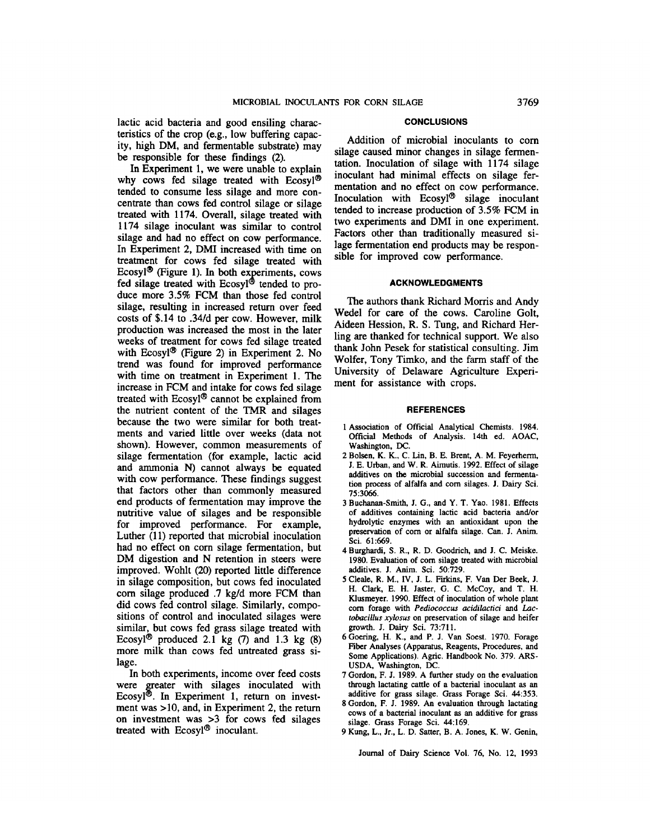lactic acid bacteria and good ensiling charac- **CONCLUSIONS** teristics of the crop (e.g., low buffering capacity, high DM, and fermentable substrate) may be responsible for these findings (2).

In Experiment 1, we were unable to explain why cows fed silage treated with Ecosyl<sup>®</sup> tended to consume less silage and more concentrate than cows fed control silage or silage treated with 1174. Overall, silage treated with 1174 silage inoculant was similar to control silage and had no effect on cow performance. In Experiment **2,** DMI increased with time on treatment for cows fed silage treated with Ecosyl<sup>®</sup> (Figure 1). In both experiments, cows duce more **3.5%** FCM than those fed control silage, resulting in increased return over feed costs of \$.14 to .34/d per cow. However, milk production was increased the most in the later weeks of treatment for cows fed silage treated with Ecosyl<sup>®</sup> (Figure 2) in Experiment 2. No trend was found for improved performance with time on treatment in Experiment 1. The increase in FCM and intake for cows fed silage treated with Ecosyl® cannot be explained from the nutrient content of the TMR and silages because the two were similar for both treatments and varied little over weeks (data not shown). However, common measurements of silage fermentation (for example, lactic acid and ammonia **N)** cannot always be equated with cow performance. These findings suggest that factors other than commonly measured end products of fermentation may improve the nutritive value of silages and be responsible for improved performance. For example, Luther (11) reported that microbial inoculation had no effect on corn silage fermentation, but DM digestion and N retention in steers were improved. Wohlt **(20)** reported little difference in silage composition, but cows fed inoculated corn silage produced .7 kg/d more FCM than did cows fed control silage. Similarly, compositions of control and inoculated silages were similar, but cows fed grass silage treated with Ecosyl<sup>®</sup> produced 2.1 kg  $(7)$  and 1.3 kg  $(8)$ more milk than cows fed untreated grass silage. fed silage treated with Ecosyl<sup>®</sup> tended to pro-

In both experiments, income over feed costs were greater with silages inoculated with Ecosyl<sup> $\Phi$ </sup>. In Experiment 1, return on investment was  $>10$ , and, in Experiment 2, the return on investment was **>3** for cows fed silages treated with Ecosyl<sup>®</sup> inoculant.

Addition of microbial inoculants to corn silage caused minor changes in silage fermentation. Inoculation of silage with 1174 silage inoculant had minimal effects on silage fermentation and no effect on cow performance. Inoculation with  $E\cos y \cdot \theta$  silage inoculant tended to increase production of 3.5% FCM in two experiments and DMI in one experiment. Factors other than traditionally measured silage fermentation end products may be responsible for improved cow performance.

### **ACKNOWLEDGMENTS**

The authors thank Richard Morris and Andy Wedel for care of the cows. Caroline Golt, Aideen Hession, R. **S.** Tung, and Richard Herling are thanked for technical support. We also thank John Pesek for statistical consulting. Jim Wolfer, Tony Timko, and the farm staff of the University of Delaware Agriculture Experiment for assistance with crops.

#### **REFERENCES**

- 1 Association of Official Analytical Chemists. 1984. Official Methods of Analysis. 14th ed. AOAC, **Washington, DC.**
- 2Bolsen, **K.** K., C. Lin, B. E. Brent, A. M. Feyerherrn, J. E. Urban, and W. R. Aimutis. 1992. Effect of silage additives on **the** microbial succession and ferrnentation process of alfalfa and corn silages. J. Dairy Sci. 75:3066.
- 3 Buchanan-Smith, J. G., and **Y. T.** Yao. 1981. Effects of additives containing lactic acid bacteria and/or hydrolytic enzymes with **an** antioxidant upon the preservation of corn or alfalfa silage. Can. J. *him.*  Sci. 61:669.
- 4Burghardi. **S.** R.. R. D. Goodrich, and J. C. Meiske. 1980. Evaluation of corn silage treated with microbial additives. J. **Anim.** *Sci.* 50:729.
- **<sup>5</sup>**Cleale, R. M., **IV,** J. L. Firkins, F. Van Der Beek, J. H. Clark, **E.** H. Jaster, G. C. McCoy, and T. H. Klusmeyer. 1990. Effect of inoculation of whole plant corn forage with *Pediococcus ucidilacfici* and *Lactobucillus xybsus* on preservation of silage and heifer growth. J. **Dairy** Sci. 73:711.
- 6Goering. H. K., and **P.** J. Van Soest. 1970. Forage Fiber Analyses (Apparatus, Reagents, Procedures, and Some Applications). Agric. Handbook No. 379. ARS-USDA. **Washington, Dc.**
- 7 Gordon, F. J. 1989. A further study **on** the evaluation through lactating cattle of a bacterial inoculant **as** an additive for grass silage. Grass Forage Sci. 44:353.
- 8Gordon. F. J. 1989. An evaluation through lactating cows of a bacterial inoculant **as** an additive for grass silage. Grass Forage Sci. 44:169.
- 9 Kung, L., **Jr.,** L. D. Satter, B. A. Jones, K. W. Genin,

Joumal of Dairy Science Vol. 76, No. 12, 1993